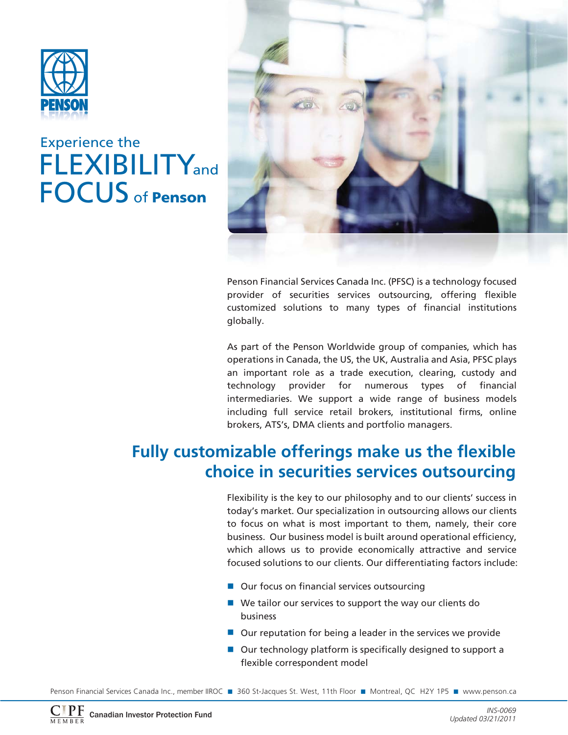

## **FLEXIBILITY**and FOCUS of **Penson** Experience the



Penson Financial Services Canada Inc. (PFSC) is a technology focused provider of securities services outsourcing, offering flexible customized solutions to many types of financial institutions globally.

As part of the Penson Worldwide group of companies, which has operations in Canada, the US, the UK, Australia and Asia, PFSC plays an important role as a trade execution, clearing, custody and technology provider for numerous types of financial intermediaries. We support a wide range of business models including full service retail brokers, institutional firms, online brokers, ATS's, DMA clients and portfolio managers.

## **Fully customizable offerings make us the flexible choice in securities services outsourcing**

Flexibility is the key to our philosophy and to our clients' success in today's market. Our specialization in outsourcing allows our clients to focus on what is most important to them, namely, their core business. Our business model is built around operational efficiency, which allows us to provide economically attractive and service focused solutions to our clients. Our differentiating factors include:

- Our focus on financial services outsourcing
- We tailor our services to support the way our clients do business
- Our reputation for being a leader in the services we provide
- Our technology platform is specifically designed to support a flexible correspondent model

Penson Financial Services Canada Inc., member IIROC ■ 360 St-Jacques St. West, 11th Floor ■ Montreal, QC H2Y 1P5 ■ www.penson.ca